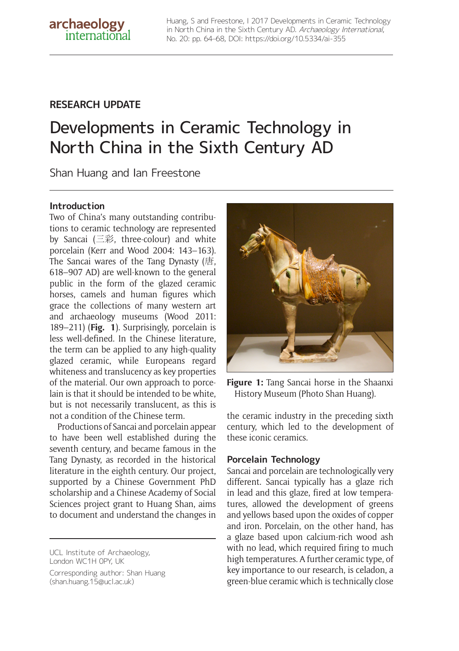Huang, S and Freestone, I 2017 Developments in Ceramic Technology in North China in the Sixth Century AD. Archaeology International, No. 20: pp. 64–68, DOI:<https://doi.org/10.5334/ai-355>

# **RESEARCH UPDATE**

# Developments in Ceramic Technology in North China in the Sixth Century AD

Shan Huang and Ian Freestone

# **Introduction**

Two of China's many outstanding contributions to ceramic technology are represented by Sancai (三彩, three-colour) and white porcelain (Kerr and Wood 2004: 143–163). The Sancai wares of the Tang Dynasty (唐, 618–907 AD) are well-known to the general public in the form of the glazed ceramic horses, camels and human figures which grace the collections of many western art and archaeology museums (Wood 2011: 189–211) (**Fig. 1**). Surprisingly, porcelain is less well-defined. In the Chinese literature, the term can be applied to any high-quality glazed ceramic, while Europeans regard whiteness and translucency as key properties of the material. Our own approach to porcelain is that it should be intended to be white, but is not necessarily translucent, as this is not a condition of the Chinese term.

Productions of Sancai and porcelain appear to have been well established during the seventh century, and became famous in the Tang Dynasty, as recorded in the historical literature in the eighth century. Our project, supported by a Chinese Government PhD scholarship and a Chinese Academy of Social Sciences project grant to Huang Shan, aims to document and understand the changes in



**Figure 1:** Tang Sancai horse in the Shaanxi History Museum (Photo Shan Huang).

the ceramic industry in the preceding sixth century, which led to the development of these iconic ceramics.

## **Porcelain Technology**

Sancai and porcelain are technologically very different. Sancai typically has a glaze rich in lead and this glaze, fired at low temperatures, allowed the development of greens and yellows based upon the oxides of copper and iron. Porcelain, on the other hand, has a glaze based upon calcium-rich wood ash with no lead, which required firing to much high temperatures. A further ceramic type, of key importance to our research, is celadon, a green-blue ceramic which is technically close

UCL Institute of Archaeology, London WC1H 0PY, UK

Corresponding author: Shan Huang [\(shan.huang.15@ucl.ac.uk](mailto:shan.huang.15@ucl.ac.uk))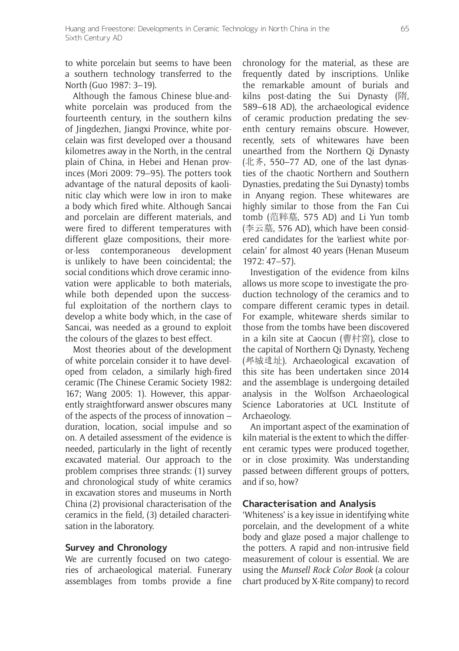to white porcelain but seems to have been a southern technology transferred to the North (Guo 1987: 3–19).

Although the famous Chinese blue-andwhite porcelain was produced from the fourteenth century, in the southern kilns of Jingdezhen, Jiangxi Province, white porcelain was first developed over a thousand kilometres away in the North, in the central plain of China, in Hebei and Henan provinces (Mori 2009: 79–95). The potters took advantage of the natural deposits of kaolinitic clay which were low in iron to make a body which fired white. Although Sancai and porcelain are different materials, and were fired to different temperatures with different glaze compositions, their moreor-less contemporaneous development is unlikely to have been coincidental; the social conditions which drove ceramic innovation were applicable to both materials, while both depended upon the successful exploitation of the northern clays to develop a white body which, in the case of Sancai, was needed as a ground to exploit the colours of the glazes to best effect.

Most theories about of the development of white porcelain consider it to have developed from celadon, a similarly high-fired ceramic (The Chinese Ceramic Society 1982: 167; Wang 2005: 1). However, this apparently straightforward answer obscures many of the aspects of the process of innovation – duration, location, social impulse and so on. A detailed assessment of the evidence is needed, particularly in the light of recently excavated material. Our approach to the problem comprises three strands: (1) survey and chronological study of white ceramics in excavation stores and museums in North China (2) provisional characterisation of the ceramics in the field, (3) detailed characterisation in the laboratory.

#### **Survey and Chronology**

We are currently focused on two categories of archaeological material. Funerary assemblages from tombs provide a fine

chronology for the material, as these are frequently dated by inscriptions. Unlike the remarkable amount of burials and kilns post-dating the Sui Dynasty (隋, 589–618 AD), the archaeological evidence of ceramic production predating the seventh century remains obscure. However, recently, sets of whitewares have been unearthed from the Northern Qi Dynasty (北齐, 550–77 AD, one of the last dynasties of the chaotic Northern and Southern Dynasties, predating the Sui Dynasty) tombs in Anyang region. These whitewares are highly similar to those from the Fan Cui tomb (范粹墓, 575 AD) and Li Yun tomb (李云墓, 576 AD), which have been considered candidates for the 'earliest white porcelain' for almost 40 years (Henan Museum 1972: 47–57).

Investigation of the evidence from kilns allows us more scope to investigate the production technology of the ceramics and to compare different ceramic types in detail. For example, whiteware sherds similar to those from the tombs have been discovered in a kiln site at Caocun (曹村窑), close to the capital of Northern Qi Dynasty, Yecheng (邺城遗址). Archaeological excavation of this site has been undertaken since 2014 and the assemblage is undergoing detailed analysis in the Wolfson Archaeological Science Laboratories at UCL Institute of Archaeology.

An important aspect of the examination of kiln material is the extent to which the different ceramic types were produced together, or in close proximity. Was understanding passed between different groups of potters, and if so, how?

#### **Characterisation and Analysis**

'Whiteness' is a key issue in identifying white porcelain, and the development of a white body and glaze posed a major challenge to the potters. A rapid and non-intrusive field measurement of colour is essential. We are using the *Munsell Rock Color Book* (a colour chart produced by X-Rite company) to record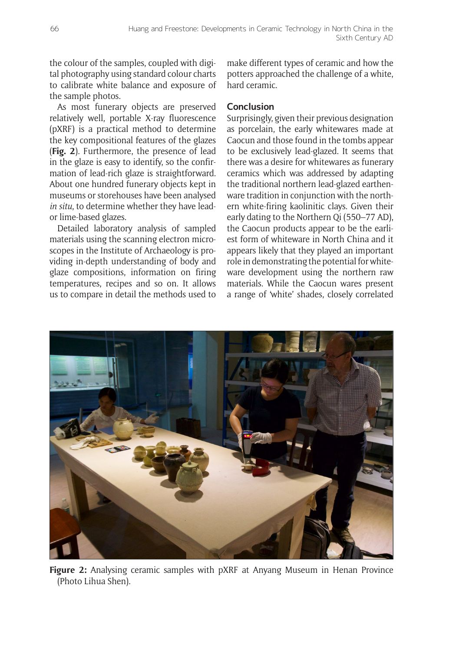the colour of the samples, coupled with digital photography using standard colour charts to calibrate white balance and exposure of the sample photos.

As most funerary objects are preserved relatively well, portable X-ray fluorescence (pXRF) is a practical method to determine the key compositional features of the glazes (**Fig. 2**). Furthermore, the presence of lead in the glaze is easy to identify, so the confirmation of lead-rich glaze is straightforward. About one hundred funerary objects kept in museums or storehouses have been analysed *in situ*, to determine whether they have leador lime-based glazes.

Detailed laboratory analysis of sampled materials using the scanning electron microscopes in the Institute of Archaeology is providing in-depth understanding of body and glaze compositions, information on firing temperatures, recipes and so on. It allows us to compare in detail the methods used to make different types of ceramic and how the potters approached the challenge of a white, hard ceramic.

### **Conclusion**

Surprisingly, given their previous designation as porcelain, the early whitewares made at Caocun and those found in the tombs appear to be exclusively lead-glazed. It seems that there was a desire for whitewares as funerary ceramics which was addressed by adapting the traditional northern lead-glazed earthenware tradition in conjunction with the northern white-firing kaolinitic clays. Given their early dating to the Northern Qi (550–77 AD), the Caocun products appear to be the earliest form of whiteware in North China and it appears likely that they played an important role in demonstrating the potential for whiteware development using the northern raw materials. While the Caocun wares present a range of 'white' shades, closely correlated



**Figure 2:** Analysing ceramic samples with pXRF at Anyang Museum in Henan Province (Photo Lihua Shen).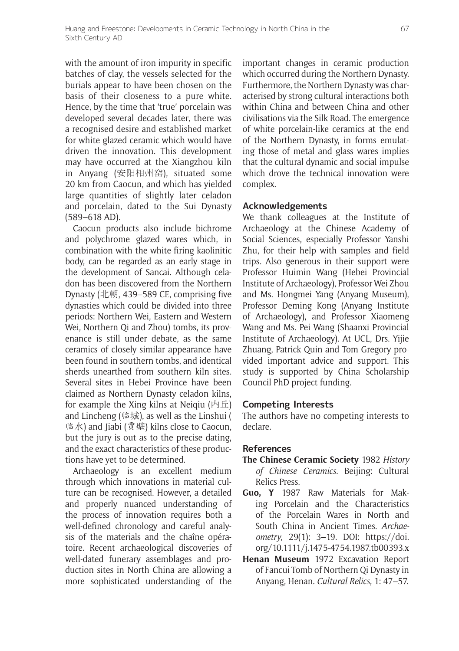with the amount of iron impurity in specific batches of clay, the vessels selected for the burials appear to have been chosen on the basis of their closeness to a pure white. Hence, by the time that 'true' porcelain was developed several decades later, there was a recognised desire and established market for white glazed ceramic which would have driven the innovation. This development may have occurred at the Xiangzhou kiln in Anyang (安阳相州窑), situated some 20 km from Caocun, and which has yielded large quantities of slightly later celadon and porcelain, dated to the Sui Dynasty (589–618 AD).

Caocun products also include bichrome and polychrome glazed wares which, in combination with the white-firing kaolinitic body, can be regarded as an early stage in the development of Sancai. Although celadon has been discovered from the Northern Dynasty (北朝, 439–589 CE, comprising five dynasties which could be divided into three periods: Northern Wei, Eastern and Western Wei, Northern Qi and Zhou) tombs, its provenance is still under debate, as the same ceramics of closely similar appearance have been found in southern tombs, and identical sherds unearthed from southern kiln sites. Several sites in Hebei Province have been claimed as Northern Dynasty celadon kilns, for example the Xing kilns at Neiqiu  $($ 内丘) and Lincheng (临城), as well as the Linshui ( 临水) and Jiabi (贾壁) kilns close to Caocun, but the jury is out as to the precise dating, and the exact characteristics of these productions have yet to be determined.

Archaeology is an excellent medium through which innovations in material culture can be recognised. However, a detailed and properly nuanced understanding of the process of innovation requires both a well-defined chronology and careful analysis of the materials and the chaîne opératoire. Recent archaeological discoveries of well-dated funerary assemblages and production sites in North China are allowing a more sophisticated understanding of the

important changes in ceramic production which occurred during the Northern Dynasty. Furthermore, the Northern Dynasty was characterised by strong cultural interactions both within China and between China and other civilisations via the Silk Road. The emergence of white porcelain-like ceramics at the end of the Northern Dynasty, in forms emulating those of metal and glass wares implies that the cultural dynamic and social impulse which drove the technical innovation were complex.

#### **Acknowledgements**

We thank colleagues at the Institute of Archaeology at the Chinese Academy of Social Sciences, especially Professor Yanshi Zhu, for their help with samples and field trips. Also generous in their support were Professor Huimin Wang (Hebei Provincial Institute of Archaeology), Professor Wei Zhou and Ms. Hongmei Yang (Anyang Museum), Professor Deming Kong (Anyang Institute of Archaeology), and Professor Xiaomeng Wang and Ms. Pei Wang (Shaanxi Provincial Institute of Archaeology). At UCL, Drs. Yijie Zhuang, Patrick Quin and Tom Gregory provided important advice and support. This study is supported by China Scholarship Council PhD project funding.

#### **Competing Interests**

The authors have no competing interests to declare.

#### **References**

- **The Chinese Ceramic Society** 1982 *History of Chinese Ceramics*. Beijing: Cultural Relics Press.
- **Guo, Y** 1987 Raw Materials for Making Porcelain and the Characteristics of the Porcelain Wares in North and South China in Ancient Times. *Archaeometry*, 29(1): 3–19. DOI: [https://doi.](https://doi.org/10.1111/j.1475-4754.1987.tb00393.x) [org/10.1111/j.1475-4754.1987.tb00393.x](https://doi.org/10.1111/j.1475-4754.1987.tb00393.x)
- **Henan Museum** 1972 Excavation Report of Fancui Tomb of Northern Qi Dynasty in Anyang, Henan. *Cultural Relics*, 1: 47–57.